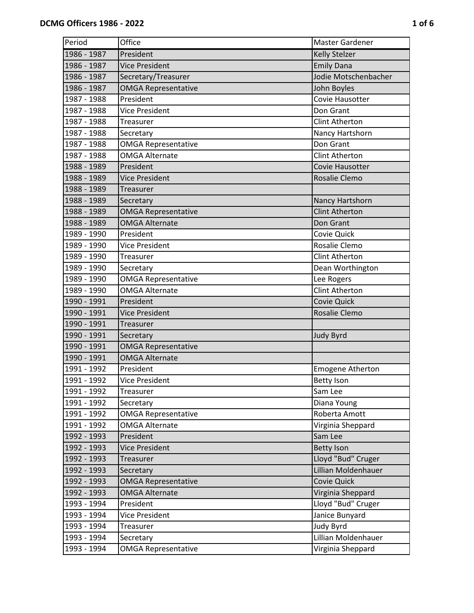| Period      | Office                     | Master Gardener         |
|-------------|----------------------------|-------------------------|
| 1986 - 1987 | President                  | <b>Kelly Stelzer</b>    |
| 1986 - 1987 | <b>Vice President</b>      | <b>Emily Dana</b>       |
| 1986 - 1987 | Secretary/Treasurer        | Jodie Motschenbacher    |
| 1986 - 1987 | <b>OMGA Representative</b> | John Boyles             |
| 1987 - 1988 | President                  | Covie Hausotter         |
| 1987 - 1988 | <b>Vice President</b>      | Don Grant               |
| 1987 - 1988 | Treasurer                  | <b>Clint Atherton</b>   |
| 1987 - 1988 | Secretary                  | Nancy Hartshorn         |
| 1987 - 1988 | <b>OMGA Representative</b> | Don Grant               |
| 1987 - 1988 | <b>OMGA Alternate</b>      | <b>Clint Atherton</b>   |
| 1988 - 1989 | President                  | <b>Covie Hausotter</b>  |
| 1988 - 1989 | <b>Vice President</b>      | Rosalie Clemo           |
| 1988 - 1989 | Treasurer                  |                         |
| 1988 - 1989 | Secretary                  | Nancy Hartshorn         |
| 1988 - 1989 | <b>OMGA Representative</b> | <b>Clint Atherton</b>   |
| 1988 - 1989 | <b>OMGA Alternate</b>      | Don Grant               |
| 1989 - 1990 | President                  | Covie Quick             |
| 1989 - 1990 | <b>Vice President</b>      | Rosalie Clemo           |
| 1989 - 1990 | Treasurer                  | <b>Clint Atherton</b>   |
| 1989 - 1990 | Secretary                  | Dean Worthington        |
| 1989 - 1990 | <b>OMGA Representative</b> | Lee Rogers              |
| 1989 - 1990 | <b>OMGA Alternate</b>      | <b>Clint Atherton</b>   |
| 1990 - 1991 | President                  | Covie Quick             |
| 1990 - 1991 | Vice President             | Rosalie Clemo           |
| 1990 - 1991 | <b>Treasurer</b>           |                         |
| 1990 - 1991 | Secretary                  | <b>Judy Byrd</b>        |
| 1990 - 1991 | <b>OMGA Representative</b> |                         |
| 1990 - 1991 | <b>OMGA Alternate</b>      |                         |
| 1991 - 1992 | President                  | <b>Emogene Atherton</b> |
| 1991 - 1992 | <b>Vice President</b>      | <b>Betty Ison</b>       |
| 1991 - 1992 | <b>Treasurer</b>           | Sam Lee                 |
| 1991 - 1992 | Secretary                  | Diana Young             |
| 1991 - 1992 | <b>OMGA Representative</b> | Roberta Amott           |
| 1991 - 1992 | <b>OMGA Alternate</b>      | Virginia Sheppard       |
| 1992 - 1993 | President                  | Sam Lee                 |
| 1992 - 1993 | <b>Vice President</b>      | <b>Betty Ison</b>       |
| 1992 - 1993 | Treasurer                  | Lloyd "Bud" Cruger      |
| 1992 - 1993 | Secretary                  | Lillian Moldenhauer     |
| 1992 - 1993 | <b>OMGA Representative</b> | Covie Quick             |
| 1992 - 1993 | <b>OMGA Alternate</b>      | Virginia Sheppard       |
| 1993 - 1994 | President                  | Lloyd "Bud" Cruger      |
| 1993 - 1994 | <b>Vice President</b>      | Janice Bunyard          |
| 1993 - 1994 | Treasurer                  | <b>Judy Byrd</b>        |
| 1993 - 1994 | Secretary                  | Lillian Moldenhauer     |
| 1993 - 1994 | <b>OMGA Representative</b> | Virginia Sheppard       |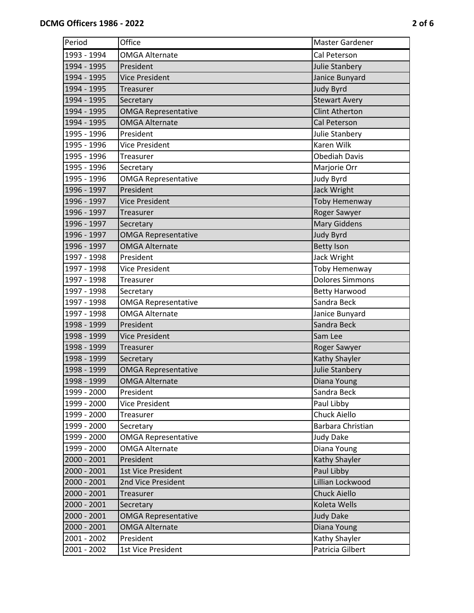| Period      | Office                     | Master Gardener        |
|-------------|----------------------------|------------------------|
| 1993 - 1994 | <b>OMGA Alternate</b>      | Cal Peterson           |
| 1994 - 1995 | President                  | Julie Stanbery         |
| 1994 - 1995 | <b>Vice President</b>      | Janice Bunyard         |
| 1994 - 1995 | Treasurer                  | <b>Judy Byrd</b>       |
| 1994 - 1995 | Secretary                  | <b>Stewart Avery</b>   |
| 1994 - 1995 | <b>OMGA Representative</b> | <b>Clint Atherton</b>  |
| 1994 - 1995 | <b>OMGA Alternate</b>      | Cal Peterson           |
| 1995 - 1996 | President                  | Julie Stanbery         |
| 1995 - 1996 | Vice President             | Karen Wilk             |
| 1995 - 1996 | Treasurer                  | <b>Obediah Davis</b>   |
| 1995 - 1996 | Secretary                  | Marjorie Orr           |
| 1995 - 1996 | <b>OMGA Representative</b> | Judy Byrd              |
| 1996 - 1997 | President                  | Jack Wright            |
| 1996 - 1997 | <b>Vice President</b>      | <b>Toby Hemenway</b>   |
| 1996 - 1997 | Treasurer                  | Roger Sawyer           |
| 1996 - 1997 | Secretary                  | <b>Mary Giddens</b>    |
| 1996 - 1997 | <b>OMGA Representative</b> | <b>Judy Byrd</b>       |
| 1996 - 1997 | <b>OMGA Alternate</b>      | <b>Betty Ison</b>      |
| 1997 - 1998 | President                  | Jack Wright            |
| 1997 - 1998 | Vice President             | Toby Hemenway          |
| 1997 - 1998 | Treasurer                  | <b>Dolores Simmons</b> |
| 1997 - 1998 | Secretary                  | <b>Betty Harwood</b>   |
| 1997 - 1998 | <b>OMGA Representative</b> | Sandra Beck            |
| 1997 - 1998 | <b>OMGA Alternate</b>      | Janice Bunyard         |
| 1998 - 1999 | President                  | Sandra Beck            |
| 1998 - 1999 | <b>Vice President</b>      | Sam Lee                |
| 1998 - 1999 | Treasurer                  | Roger Sawyer           |
| 1998 - 1999 | Secretary                  | Kathy Shayler          |
| 1998 - 1999 | <b>OMGA Representative</b> | <b>Julie Stanbery</b>  |
| 1998 - 1999 | <b>OMGA Alternate</b>      | Diana Young            |
| 1999 - 2000 | President                  | Sandra Beck            |
| 1999 - 2000 | Vice President             | Paul Libby             |
| 1999 - 2000 | Treasurer                  | Chuck Aiello           |
| 1999 - 2000 | Secretary                  | Barbara Christian      |
| 1999 - 2000 | <b>OMGA Representative</b> | <b>Judy Dake</b>       |
| 1999 - 2000 | <b>OMGA Alternate</b>      | Diana Young            |
| 2000 - 2001 | President                  | Kathy Shayler          |
| 2000 - 2001 | 1st Vice President         | Paul Libby             |
| 2000 - 2001 | 2nd Vice President         | Lillian Lockwood       |
| 2000 - 2001 | Treasurer                  | <b>Chuck Aiello</b>    |
| 2000 - 2001 | Secretary                  | Koleta Wells           |
| 2000 - 2001 | <b>OMGA Representative</b> | <b>Judy Dake</b>       |
| 2000 - 2001 | <b>OMGA Alternate</b>      | Diana Young            |
| 2001 - 2002 | President                  | Kathy Shayler          |
| 2001 - 2002 | 1st Vice President         | Patricia Gilbert       |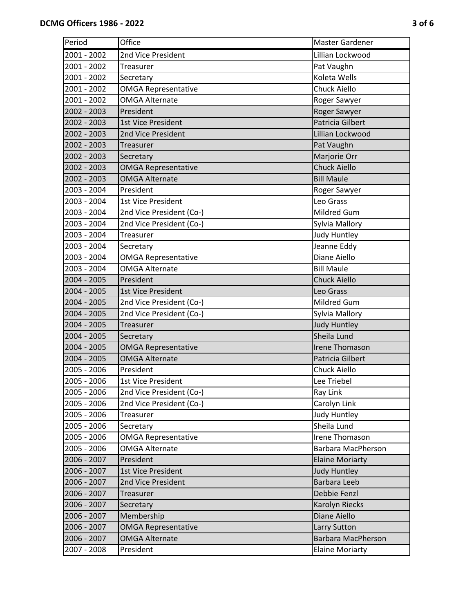| Period        | Office                     | Master Gardener           |
|---------------|----------------------------|---------------------------|
| 2001 - 2002   | 2nd Vice President         | Lillian Lockwood          |
| 2001 - 2002   | Treasurer                  | Pat Vaughn                |
| 2001 - 2002   | Secretary                  | Koleta Wells              |
| 2001 - 2002   | <b>OMGA Representative</b> | Chuck Aiello              |
| 2001 - 2002   | <b>OMGA Alternate</b>      | Roger Sawyer              |
| 2002 - 2003   | President                  | Roger Sawyer              |
| 2002 - 2003   | 1st Vice President         | <b>Patricia Gilbert</b>   |
| 2002 - 2003   | 2nd Vice President         | Lillian Lockwood          |
| 2002 - 2003   | Treasurer                  | Pat Vaughn                |
| 2002 - 2003   | Secretary                  | Marjorie Orr              |
| 2002 - 2003   | <b>OMGA Representative</b> | <b>Chuck Aiello</b>       |
| 2002 - 2003   | <b>OMGA Alternate</b>      | <b>Bill Maule</b>         |
| 2003 - 2004   | President                  | Roger Sawyer              |
| 2003 - 2004   | 1st Vice President         | Leo Grass                 |
| 2003 - 2004   | 2nd Vice President (Co-)   | Mildred Gum               |
| 2003 - 2004   | 2nd Vice President (Co-)   | Sylvia Mallory            |
| 2003 - 2004   | Treasurer                  | Judy Huntley              |
| 2003 - 2004   | Secretary                  | Jeanne Eddy               |
| 2003 - 2004   | <b>OMGA Representative</b> | Diane Aiello              |
| 2003 - 2004   | <b>OMGA Alternate</b>      | <b>Bill Maule</b>         |
| 2004 - 2005   | President                  | <b>Chuck Aiello</b>       |
| $2004 - 2005$ | 1st Vice President         | Leo Grass                 |
| 2004 - 2005   | 2nd Vice President (Co-)   | Mildred Gum               |
| 2004 - 2005   | 2nd Vice President (Co-)   | Sylvia Mallory            |
| 2004 - 2005   | Treasurer                  | <b>Judy Huntley</b>       |
| 2004 - 2005   | Secretary                  | Sheila Lund               |
| 2004 - 2005   | <b>OMGA Representative</b> | <b>Irene Thomason</b>     |
| 2004 - 2005   | <b>OMGA Alternate</b>      | Patricia Gilbert          |
| 2005 - 2006   | President                  | Chuck Aiello              |
| 2005 - 2006   | 1st Vice President         | Lee Triebel               |
| 2005 - 2006   | 2nd Vice President (Co-)   | Ray Link                  |
| 2005 - 2006   | 2nd Vice President (Co-)   | Carolyn Link              |
| 2005 - 2006   | Treasurer                  | <b>Judy Huntley</b>       |
| 2005 - 2006   | Secretary                  | Sheila Lund               |
| 2005 - 2006   | <b>OMGA Representative</b> | Irene Thomason            |
| 2005 - 2006   | <b>OMGA Alternate</b>      | <b>Barbara MacPherson</b> |
| 2006 - 2007   | President                  | <b>Elaine Moriarty</b>    |
| 2006 - 2007   | 1st Vice President         | <b>Judy Huntley</b>       |
| 2006 - 2007   | 2nd Vice President         | <b>Barbara Leeb</b>       |
| 2006 - 2007   | Treasurer                  | Debbie Fenzl              |
| 2006 - 2007   | Secretary                  | Karolyn Riecks            |
| 2006 - 2007   | Membership                 | Diane Aiello              |
| 2006 - 2007   | <b>OMGA Representative</b> | Larry Sutton              |
| 2006 - 2007   | <b>OMGA Alternate</b>      | <b>Barbara MacPherson</b> |
| 2007 - 2008   | President                  | <b>Elaine Moriarty</b>    |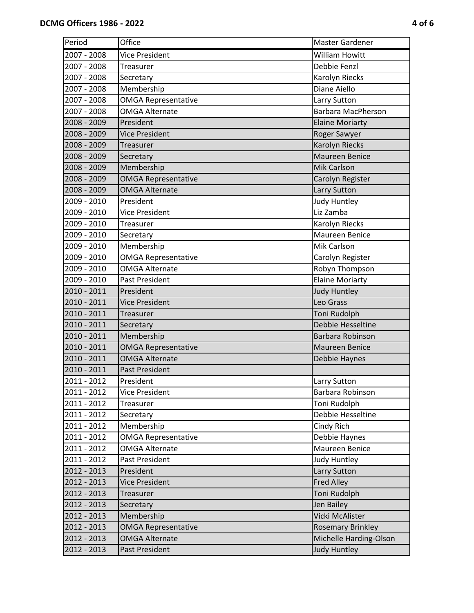| Period      | Office                     | Master Gardener           |
|-------------|----------------------------|---------------------------|
| 2007 - 2008 | <b>Vice President</b>      | <b>William Howitt</b>     |
| 2007 - 2008 | Treasurer                  | Debbie Fenzl              |
| 2007 - 2008 | Secretary                  | Karolyn Riecks            |
| 2007 - 2008 | Membership                 | Diane Aiello              |
| 2007 - 2008 | OMGA Representative        | Larry Sutton              |
| 2007 - 2008 | <b>OMGA Alternate</b>      | <b>Barbara MacPherson</b> |
| 2008 - 2009 | President                  | <b>Elaine Moriarty</b>    |
| 2008 - 2009 | <b>Vice President</b>      | Roger Sawyer              |
| 2008 - 2009 | Treasurer                  | <b>Karolyn Riecks</b>     |
| 2008 - 2009 | Secretary                  | <b>Maureen Benice</b>     |
| 2008 - 2009 | Membership                 | <b>Mik Carlson</b>        |
| 2008 - 2009 | <b>OMGA Representative</b> | Carolyn Register          |
| 2008 - 2009 | <b>OMGA Alternate</b>      | Larry Sutton              |
| 2009 - 2010 | President                  | <b>Judy Huntley</b>       |
| 2009 - 2010 | <b>Vice President</b>      | Liz Zamba                 |
| 2009 - 2010 | Treasurer                  | Karolyn Riecks            |
| 2009 - 2010 | Secretary                  | Maureen Benice            |
| 2009 - 2010 | Membership                 | Mik Carlson               |
| 2009 - 2010 | <b>OMGA Representative</b> | Carolyn Register          |
| 2009 - 2010 | <b>OMGA Alternate</b>      | Robyn Thompson            |
| 2009 - 2010 | Past President             | <b>Elaine Moriarty</b>    |
| 2010 - 2011 | President                  | <b>Judy Huntley</b>       |
| 2010 - 2011 | <b>Vice President</b>      | Leo Grass                 |
| 2010 - 2011 | Treasurer                  | Toni Rudolph              |
| 2010 - 2011 | Secretary                  | Debbie Hesseltine         |
| 2010 - 2011 | Membership                 | Barbara Robinson          |
| 2010 - 2011 | <b>OMGA Representative</b> | <b>Maureen Benice</b>     |
| 2010 - 2011 | <b>OMGA Alternate</b>      | Debbie Haynes             |
| 2010 - 2011 | <b>Past President</b>      |                           |
| 2011 - 2012 | President                  | Larry Sutton              |
| 2011 - 2012 | Vice President             | Barbara Robinson          |
| 2011 - 2012 | Treasurer                  | Toni Rudolph              |
| 2011 - 2012 | Secretary                  | Debbie Hesseltine         |
| 2011 - 2012 | Membership                 | Cindy Rich                |
| 2011 - 2012 | <b>OMGA Representative</b> | Debbie Haynes             |
| 2011 - 2012 | <b>OMGA Alternate</b>      | Maureen Benice            |
| 2011 - 2012 | Past President             | Judy Huntley              |
| 2012 - 2013 | President                  | Larry Sutton              |
| 2012 - 2013 | Vice President             | <b>Fred Alley</b>         |
| 2012 - 2013 | Treasurer                  | Toni Rudolph              |
| 2012 - 2013 | Secretary                  | Jen Bailey                |
| 2012 - 2013 | Membership                 | Vicki McAlister           |
| 2012 - 2013 | <b>OMGA Representative</b> | <b>Rosemary Brinkley</b>  |
| 2012 - 2013 | <b>OMGA Alternate</b>      | Michelle Harding-Olson    |
| 2012 - 2013 | Past President             | Judy Huntley              |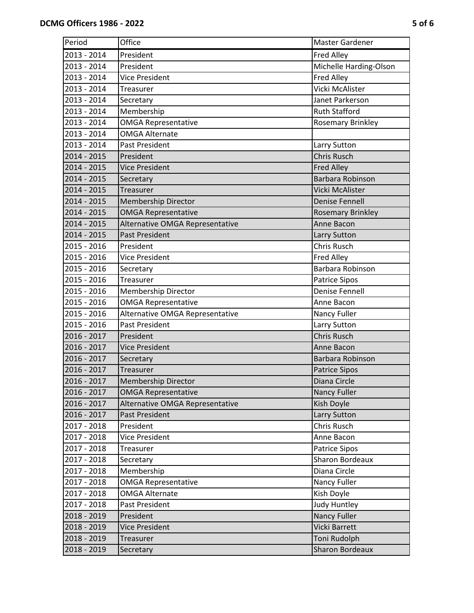| Period      | Office                          | Master Gardener          |
|-------------|---------------------------------|--------------------------|
| 2013 - 2014 | President                       | <b>Fred Alley</b>        |
| 2013 - 2014 | President                       | Michelle Harding-Olson   |
| 2013 - 2014 | <b>Vice President</b>           | <b>Fred Alley</b>        |
| 2013 - 2014 | Treasurer                       | Vicki McAlister          |
| 2013 - 2014 | Secretary                       | Janet Parkerson          |
| 2013 - 2014 | Membership                      | <b>Ruth Stafford</b>     |
| 2013 - 2014 | <b>OMGA Representative</b>      | <b>Rosemary Brinkley</b> |
| 2013 - 2014 | <b>OMGA Alternate</b>           |                          |
| 2013 - 2014 | Past President                  | Larry Sutton             |
| 2014 - 2015 | President                       | <b>Chris Rusch</b>       |
| 2014 - 2015 | <b>Vice President</b>           | <b>Fred Alley</b>        |
| 2014 - 2015 | Secretary                       | <b>Barbara Robinson</b>  |
| 2014 - 2015 | Treasurer                       | Vicki McAlister          |
| 2014 - 2015 | <b>Membership Director</b>      | <b>Denise Fennell</b>    |
| 2014 - 2015 | <b>OMGA Representative</b>      | <b>Rosemary Brinkley</b> |
| 2014 - 2015 | Alternative OMGA Representative | Anne Bacon               |
| 2014 - 2015 | <b>Past President</b>           | Larry Sutton             |
| 2015 - 2016 | President                       | Chris Rusch              |
| 2015 - 2016 | <b>Vice President</b>           | Fred Alley               |
| 2015 - 2016 | Secretary                       | Barbara Robinson         |
| 2015 - 2016 | Treasurer                       | <b>Patrice Sipos</b>     |
| 2015 - 2016 | <b>Membership Director</b>      | <b>Denise Fennell</b>    |
| 2015 - 2016 | <b>OMGA Representative</b>      | Anne Bacon               |
| 2015 - 2016 | Alternative OMGA Representative | Nancy Fuller             |
| 2015 - 2016 | Past President                  | Larry Sutton             |
| 2016 - 2017 | President                       | <b>Chris Rusch</b>       |
| 2016 - 2017 | <b>Vice President</b>           | Anne Bacon               |
| 2016 - 2017 | Secretary                       | Barbara Robinson         |
| 2016 - 2017 | Treasurer                       | <b>Patrice Sipos</b>     |
| 2016 - 2017 | <b>Membership Director</b>      | Diana Circle             |
| 2016 - 2017 | <b>OMGA Representative</b>      | Nancy Fuller             |
| 2016 - 2017 | Alternative OMGA Representative | Kish Doyle               |
| 2016 - 2017 | <b>Past President</b>           | Larry Sutton             |
| 2017 - 2018 | President                       | Chris Rusch              |
| 2017 - 2018 | Vice President                  | Anne Bacon               |
| 2017 - 2018 | Treasurer                       | <b>Patrice Sipos</b>     |
| 2017 - 2018 | Secretary                       | <b>Sharon Bordeaux</b>   |
| 2017 - 2018 | Membership                      | Diana Circle             |
| 2017 - 2018 | <b>OMGA Representative</b>      | Nancy Fuller             |
| 2017 - 2018 | <b>OMGA Alternate</b>           | Kish Doyle               |
| 2017 - 2018 | Past President                  | <b>Judy Huntley</b>      |
| 2018 - 2019 | President                       | <b>Nancy Fuller</b>      |
| 2018 - 2019 | <b>Vice President</b>           | <b>Vicki Barrett</b>     |
| 2018 - 2019 | Treasurer                       | Toni Rudolph             |
| 2018 - 2019 | Secretary                       | <b>Sharon Bordeaux</b>   |